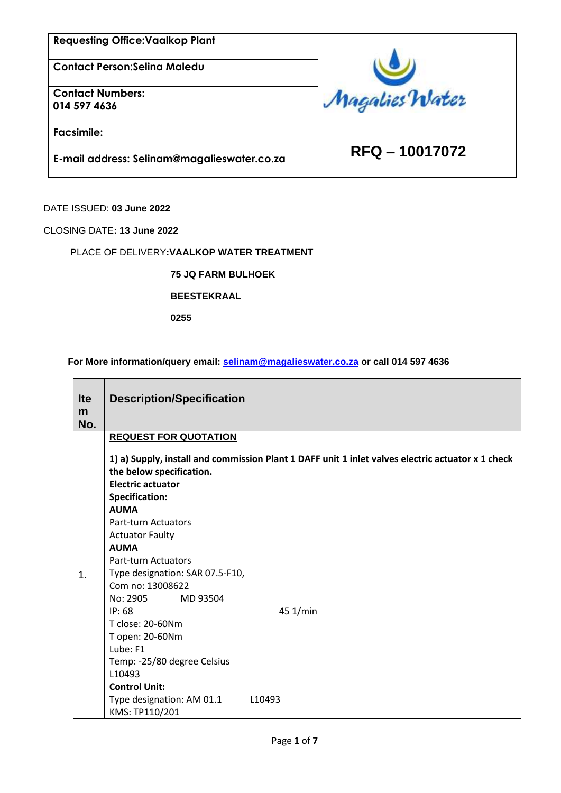**Contact Person:Selina Maledu**

**Contact Numbers: 014 597 4636**

**Facsimile:**

 **RFQ – 10017072 E-mail address: Selinam@magalieswater.co.za**

Magalies Water

DATE ISSUED: **03 June 2022**

CLOSING DATE**: 13 June 2022**

#### PLACE OF DELIVERY**:VAALKOP WATER TREATMENT**

**75 JQ FARM BULHOEK**

**BEESTEKRAAL**

**0255**

**For More information/query email: [selinam@magalieswater.co.za](mailto:selinam@magalieswater.co.za) or call 014 597 4636**

| <b>Ite</b><br>m<br>No. | <b>Description/Specification</b>                                                                                                                                                                                                                                                                                                                                                                                                                              |  |  |  |
|------------------------|---------------------------------------------------------------------------------------------------------------------------------------------------------------------------------------------------------------------------------------------------------------------------------------------------------------------------------------------------------------------------------------------------------------------------------------------------------------|--|--|--|
|                        | <b>REQUEST FOR QUOTATION</b>                                                                                                                                                                                                                                                                                                                                                                                                                                  |  |  |  |
| 1.                     | 1) a) Supply, install and commission Plant 1 DAFF unit 1 inlet valves electric actuator x 1 check<br>the below specification.<br><b>Electric actuator</b><br><b>Specification:</b><br><b>AUMA</b><br><b>Part-turn Actuators</b><br><b>Actuator Faulty</b><br><b>AUMA</b><br><b>Part-turn Actuators</b><br>Type designation: SAR 07.5-F10,<br>Com no: 13008622<br>No: 2905<br>MD 93504<br>45 1/min<br>IP:68<br>T close: 20-60Nm<br>T open: 20-60Nm<br>Lube: F1 |  |  |  |
|                        | Temp: -25/80 degree Celsius                                                                                                                                                                                                                                                                                                                                                                                                                                   |  |  |  |
|                        | L10493<br><b>Control Unit:</b>                                                                                                                                                                                                                                                                                                                                                                                                                                |  |  |  |
|                        | Type designation: AM 01.1<br>L <sub>10493</sub><br>KMS: TP110/201                                                                                                                                                                                                                                                                                                                                                                                             |  |  |  |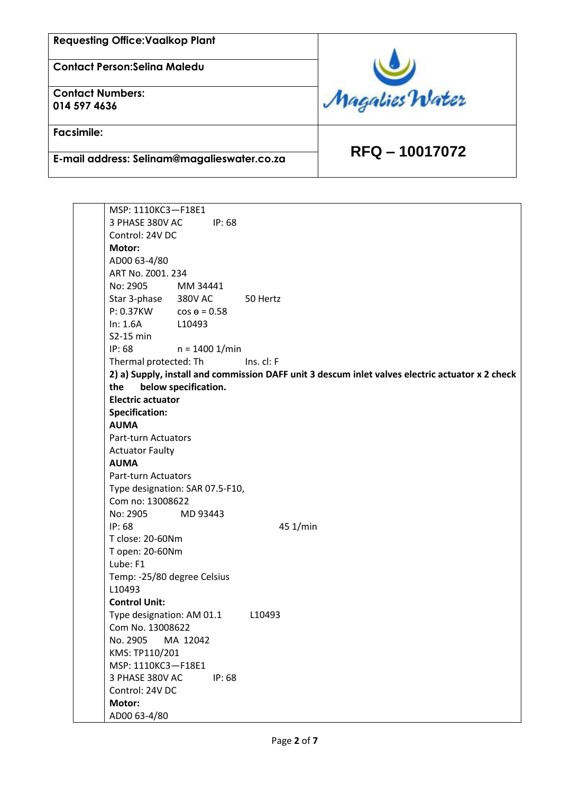**Contact Person:Selina Maledu**

**Contact Numbers: 014 597 4636**

**Facsimile:**

 **RFQ – 10017072 E-mail address: Selinam@magalieswater.co.za**



| MSP: 1110KC3-F18E1          |                                 |                                                                                                  |
|-----------------------------|---------------------------------|--------------------------------------------------------------------------------------------------|
| 3 PHASE 380V AC             | IP: 68                          |                                                                                                  |
| Control: 24V DC             |                                 |                                                                                                  |
| Motor:                      |                                 |                                                                                                  |
| AD00 63-4/80                |                                 |                                                                                                  |
| ART No. Z001. 234           |                                 |                                                                                                  |
| No: 2905                    | MM 34441                        |                                                                                                  |
| Star 3-phase 380V AC        |                                 | 50 Hertz                                                                                         |
| P: 0.37KW                   | $cos \theta = 0.58$             |                                                                                                  |
| In: 1.6A                    | L10493                          |                                                                                                  |
| S2-15 min                   |                                 |                                                                                                  |
| IP: 68                      | $n = 1400$ 1/min                |                                                                                                  |
| Thermal protected: Th       |                                 | Ins. cl: F                                                                                       |
|                             |                                 | 2) a) Supply, install and commission DAFF unit 3 descum inlet valves electric actuator x 2 check |
| the                         | below specification.            |                                                                                                  |
| <b>Electric actuator</b>    |                                 |                                                                                                  |
| <b>Specification:</b>       |                                 |                                                                                                  |
| <b>AUMA</b>                 |                                 |                                                                                                  |
| <b>Part-turn Actuators</b>  |                                 |                                                                                                  |
| <b>Actuator Faulty</b>      |                                 |                                                                                                  |
| <b>AUMA</b>                 |                                 |                                                                                                  |
| Part-turn Actuators         |                                 |                                                                                                  |
|                             | Type designation: SAR 07.5-F10, |                                                                                                  |
| Com no: 13008622            |                                 |                                                                                                  |
| No: 2905                    | MD 93443                        |                                                                                                  |
| IP: 68                      |                                 | 45 1/min                                                                                         |
| T close: 20-60Nm            |                                 |                                                                                                  |
| T open: 20-60Nm             |                                 |                                                                                                  |
| Lube: F1                    |                                 |                                                                                                  |
| Temp: -25/80 degree Celsius |                                 |                                                                                                  |
| L10493                      |                                 |                                                                                                  |
| <b>Control Unit:</b>        |                                 |                                                                                                  |
| Type designation: AM 01.1   |                                 | L10493                                                                                           |
| Com No. 13008622            |                                 |                                                                                                  |
| No. 2905                    | MA 12042                        |                                                                                                  |
| KMS: TP110/201              |                                 |                                                                                                  |
| MSP: 1110KC3-F18E1          |                                 |                                                                                                  |
| 3 PHASE 380V AC             | IP: 68                          |                                                                                                  |
| Control: 24V DC             |                                 |                                                                                                  |
| Motor:                      |                                 |                                                                                                  |
| AD00 63-4/80                |                                 |                                                                                                  |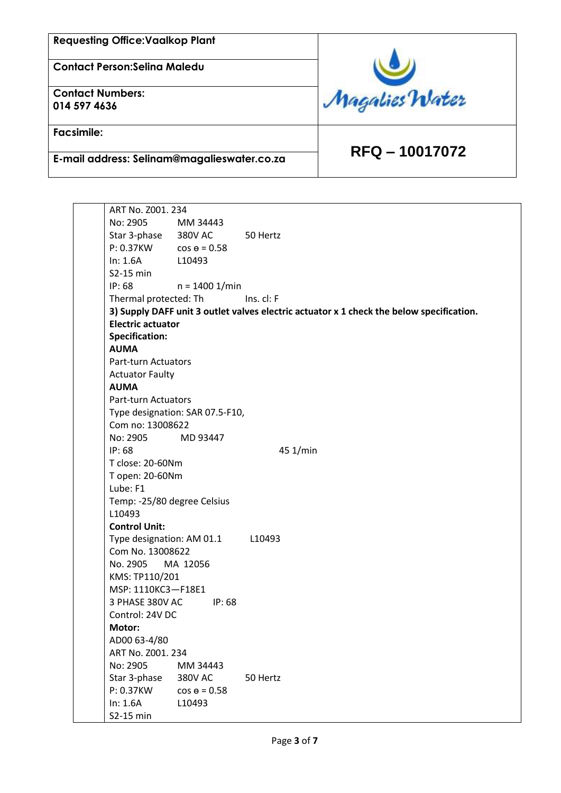**Contact Person:Selina Maledu**

**Contact Numbers: 014 597 4636**

**Facsimile:**

 **RFQ – 10017072 E-mail address: Selinam@magalieswater.co.za**

Magalies Water

ART No. Z001. 234 No: 2905 MM 34443 Star 3-phase 380V AC 50 Hertz  $P: 0.37KW$   $cos \theta = 0.58$ In: 1.6A L10493 S2-15 min IP: 68 n = 1400 1/min Thermal protected: Th Ins. cl: F **3) Supply DAFF unit 3 outlet valves electric actuator x 1 check the below specification. Electric actuator Specification: AUMA** Part-turn Actuators Actuator Faulty **AUMA** Part-turn Actuators Type designation: SAR 07.5-F10, Com no: 13008622 No: 2905 MD 93447 IP: 68 45 1/min T close: 20-60Nm T open: 20-60Nm Lube: F1 Temp: -25/80 degree Celsius L10493 **Control Unit:** Type designation: AM 01.1 L10493 Com No. 13008622 No. 2905 MA 12056 KMS: TP110/201 MSP: 1110KC3—F18E1 3 PHASE 380V AC IP: 68 Control: 24V DC **Motor:** AD00 63-4/80 ART No. Z001. 234 No: 2905 MM 34443 Star 3-phase 380V AC 50 Hertz  $P: 0.37KW$   $cos \theta = 0.58$ In: 1.6A L10493 S2-15 min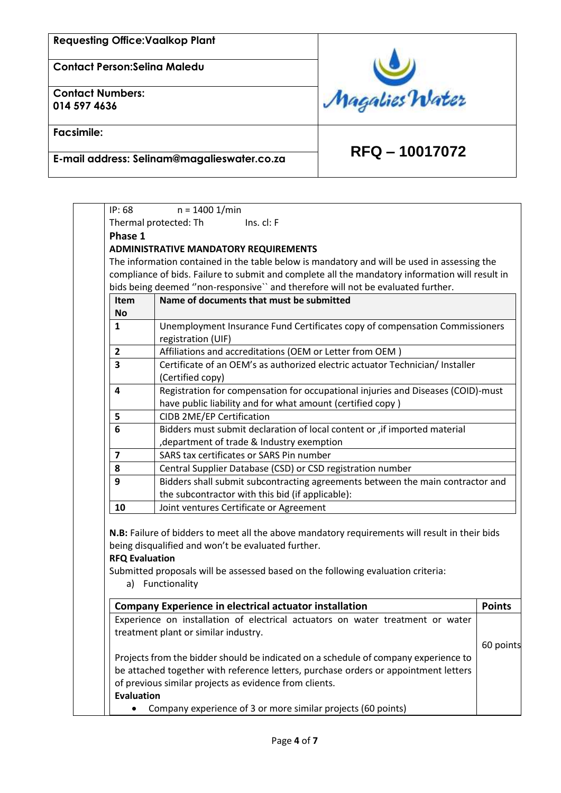**Contact Person:Selina Maledu**

**Contact Numbers: 014 597 4636**

**Facsimile:**



 **RFQ – 10017072 E-mail address: Selinam@magalieswater.co.za**

| Phase 1        | Thermal protected: Th<br>$Ins.$ cl: $F$                                                         |  |  |  |  |
|----------------|-------------------------------------------------------------------------------------------------|--|--|--|--|
|                |                                                                                                 |  |  |  |  |
|                | <b>ADMINISTRATIVE MANDATORY REQUIREMENTS</b>                                                    |  |  |  |  |
|                | The information contained in the table below is mandatory and will be used in assessing the     |  |  |  |  |
|                | compliance of bids. Failure to submit and complete all the mandatory information will result in |  |  |  |  |
|                | bids being deemed "non-responsive" and therefore will not be evaluated further.                 |  |  |  |  |
| <b>Item</b>    | Name of documents that must be submitted                                                        |  |  |  |  |
| <b>No</b>      |                                                                                                 |  |  |  |  |
| $\mathbf{1}$   | Unemployment Insurance Fund Certificates copy of compensation Commissioners                     |  |  |  |  |
|                | registration (UIF)                                                                              |  |  |  |  |
| $\overline{2}$ | Affiliations and accreditations (OEM or Letter from OEM)                                        |  |  |  |  |
| 3              | Certificate of an OEM's as authorized electric actuator Technician/ Installer                   |  |  |  |  |
|                | (Certified copy)                                                                                |  |  |  |  |
| 4              | Registration for compensation for occupational injuries and Diseases (COID)-must                |  |  |  |  |
|                | have public liability and for what amount (certified copy)                                      |  |  |  |  |
| 5              | <b>CIDB 2ME/EP Certification</b>                                                                |  |  |  |  |
| 6              | Bidders must submit declaration of local content or , if imported material                      |  |  |  |  |
|                | department of trade & Industry exemption                                                        |  |  |  |  |
| $\overline{7}$ | SARS tax certificates or SARS Pin number                                                        |  |  |  |  |
| 8              | Central Supplier Database (CSD) or CSD registration number                                      |  |  |  |  |
| 9              | Bidders shall submit subcontracting agreements between the main contractor and                  |  |  |  |  |
|                | the subcontractor with this bid (if applicable):                                                |  |  |  |  |
| 10             | Joint ventures Certificate or Agreement                                                         |  |  |  |  |

treatment plant or similar industry. Projects from the bidder should be indicated on a schedule of company experience to be attached together with reference letters, purchase orders or appointment letters of previous similar projects as evidence from clients. **Evaluation** • Company experience of 3 or more similar projects (60 points) 60 points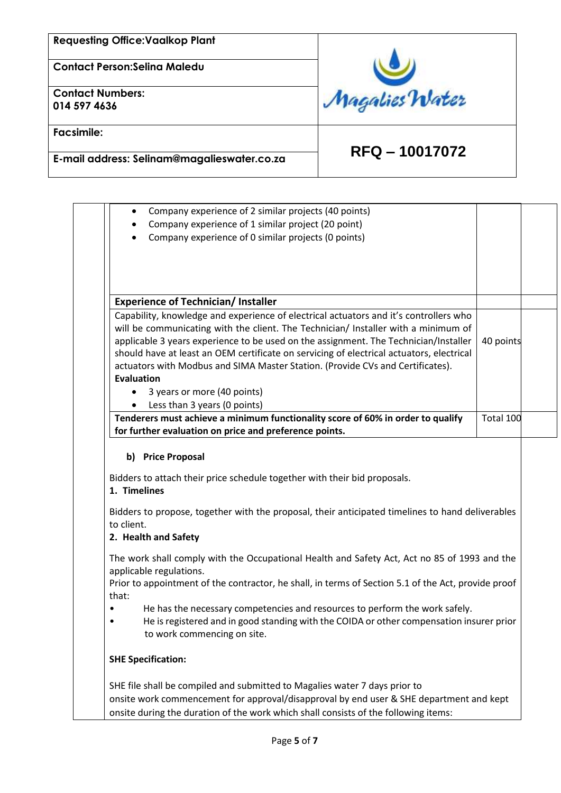**Contact Person:Selina Maledu**

**Contact Numbers: 014 597 4636**

**Facsimile:**



# **RFQ – 10017072 E-mail address: Selinam@magalieswater.co.za**

| Company experience of 2 similar projects (40 points)<br>$\bullet$                                                                                                              |           |
|--------------------------------------------------------------------------------------------------------------------------------------------------------------------------------|-----------|
| Company experience of 1 similar project (20 point)<br>٠                                                                                                                        |           |
| Company experience of 0 similar projects (0 points)                                                                                                                            |           |
|                                                                                                                                                                                |           |
|                                                                                                                                                                                |           |
|                                                                                                                                                                                |           |
|                                                                                                                                                                                |           |
| <b>Experience of Technician/Installer</b>                                                                                                                                      |           |
| Capability, knowledge and experience of electrical actuators and it's controllers who                                                                                          |           |
| will be communicating with the client. The Technician/ Installer with a minimum of                                                                                             |           |
| applicable 3 years experience to be used on the assignment. The Technician/Installer                                                                                           | 40 points |
| should have at least an OEM certificate on servicing of electrical actuators, electrical                                                                                       |           |
| actuators with Modbus and SIMA Master Station. (Provide CVs and Certificates).<br><b>Evaluation</b>                                                                            |           |
|                                                                                                                                                                                |           |
| 3 years or more (40 points)<br>$\bullet$                                                                                                                                       |           |
| Less than 3 years (0 points)<br>Tenderers must achieve a minimum functionality score of 60% in order to qualify                                                                | Total 100 |
| for further evaluation on price and preference points.                                                                                                                         |           |
| 1. Timelines                                                                                                                                                                   |           |
| Bidders to propose, together with the proposal, their anticipated timelines to hand deliverables                                                                               |           |
| to client.                                                                                                                                                                     |           |
| 2. Health and Safety                                                                                                                                                           |           |
| The work shall comply with the Occupational Health and Safety Act, Act no 85 of 1993 and the                                                                                   |           |
| applicable regulations.                                                                                                                                                        |           |
| Prior to appointment of the contractor, he shall, in terms of Section 5.1 of the Act, provide proof                                                                            |           |
| that:                                                                                                                                                                          |           |
| He has the necessary competencies and resources to perform the work safely.                                                                                                    |           |
| He is registered and in good standing with the COIDA or other compensation insurer prior                                                                                       |           |
|                                                                                                                                                                                |           |
| to work commencing on site.                                                                                                                                                    |           |
| <b>SHE Specification:</b>                                                                                                                                                      |           |
|                                                                                                                                                                                |           |
| SHE file shall be compiled and submitted to Magalies water 7 days prior to                                                                                                     |           |
| onsite work commencement for approval/disapproval by end user & SHE department and kept<br>onsite during the duration of the work which shall consists of the following items: |           |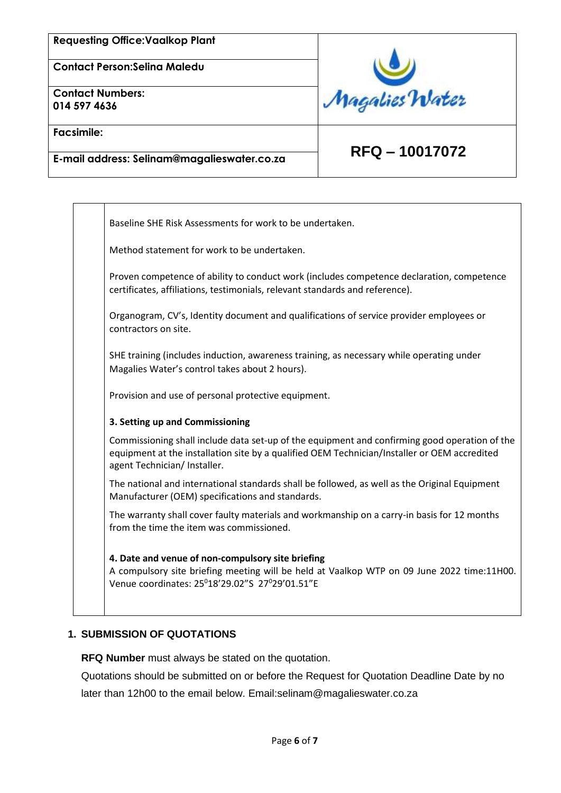**Contact Person:Selina Maledu**

**Contact Numbers: 014 597 4636**



**Facsimile:**

# **RFQ – 10017072 E-mail address: Selinam@magalieswater.co.za**

Baseline SHE Risk Assessments for work to be undertaken.

Method statement for work to be undertaken.

Proven competence of ability to conduct work (includes competence declaration, competence certificates, affiliations, testimonials, relevant standards and reference).

Organogram, CV's, Identity document and qualifications of service provider employees or contractors on site.

SHE training (includes induction, awareness training, as necessary while operating under Magalies Water's control takes about 2 hours).

Provision and use of personal protective equipment.

#### **3. Setting up and Commissioning**

Commissioning shall include data set-up of the equipment and confirming good operation of the equipment at the installation site by a qualified OEM Technician/Installer or OEM accredited agent Technician/ Installer.

The national and international standards shall be followed, as well as the Original Equipment Manufacturer (OEM) specifications and standards.

The warranty shall cover faulty materials and workmanship on a carry-in basis for 12 months from the time the item was commissioned.

**4. Date and venue of non-compulsory site briefing** A compulsory site briefing meeting will be held at Vaalkop WTP on 09 June 2022 time:11H00. Venue coordinates: 25<sup>0</sup>18'29.02"S 27<sup>0</sup>29'01.51"E

### **1. SUBMISSION OF QUOTATIONS**

**RFQ Number** must always be stated on the quotation.

Quotations should be submitted on or before the Request for Quotation Deadline Date by no later than 12h00 to the email below. Email:selinam@magalieswater.co.za